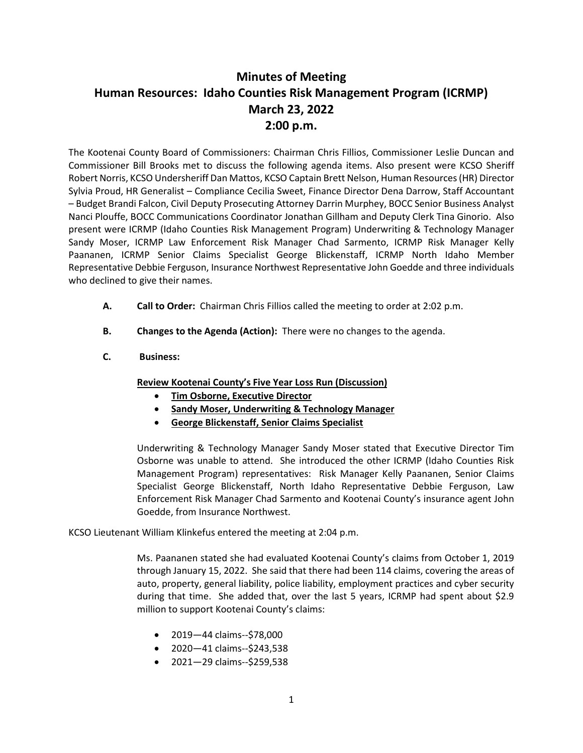## **Minutes of Meeting Human Resources: Idaho Counties Risk Management Program (ICRMP) March 23, 2022 2:00 p.m.**

The Kootenai County Board of Commissioners: Chairman Chris Fillios, Commissioner Leslie Duncan and Commissioner Bill Brooks met to discuss the following agenda items. Also present were KCSO Sheriff Robert Norris, KCSO Undersheriff Dan Mattos, KCSO Captain Brett Nelson, Human Resources (HR) Director Sylvia Proud, HR Generalist – Compliance Cecilia Sweet, Finance Director Dena Darrow, Staff Accountant – Budget Brandi Falcon, Civil Deputy Prosecuting Attorney Darrin Murphey, BOCC Senior Business Analyst Nanci Plouffe, BOCC Communications Coordinator Jonathan Gillham and Deputy Clerk Tina Ginorio. Also present were ICRMP (Idaho Counties Risk Management Program) Underwriting & Technology Manager Sandy Moser, ICRMP Law Enforcement Risk Manager Chad Sarmento, ICRMP Risk Manager Kelly Paananen, ICRMP Senior Claims Specialist George Blickenstaff, ICRMP North Idaho Member Representative Debbie Ferguson, Insurance Northwest Representative John Goedde and three individuals who declined to give their names.

- **A. Call to Order:** Chairman Chris Fillios called the meeting to order at 2:02 p.m.
- **B. Changes to the Agenda (Action):** There were no changes to the agenda.
- **C. Business:**

**Review Kootenai County's Five Year Loss Run (Discussion)**

- **Tim Osborne, Executive Director**
- **Sandy Moser, Underwriting & Technology Manager**
- **George Blickenstaff, Senior Claims Specialist**

Underwriting & Technology Manager Sandy Moser stated that Executive Director Tim Osborne was unable to attend. She introduced the other ICRMP (Idaho Counties Risk Management Program) representatives: Risk Manager Kelly Paananen, Senior Claims Specialist George Blickenstaff, North Idaho Representative Debbie Ferguson, Law Enforcement Risk Manager Chad Sarmento and Kootenai County's insurance agent John Goedde, from Insurance Northwest.

KCSO Lieutenant William Klinkefus entered the meeting at 2:04 p.m.

Ms. Paananen stated she had evaluated Kootenai County's claims from October 1, 2019 through January 15, 2022. She said that there had been 114 claims, covering the areas of auto, property, general liability, police liability, employment practices and cyber security during that time. She added that, over the last 5 years, ICRMP had spent about \$2.9 million to support Kootenai County's claims:

- 2019—44 claims--\$78,000
- 2020—41 claims--\$243,538
- 2021—29 claims--\$259,538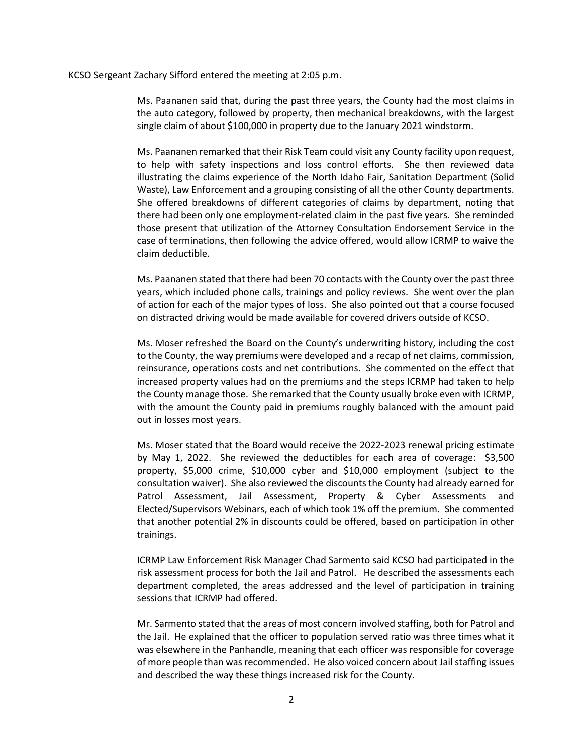## KCSO Sergeant Zachary Sifford entered the meeting at 2:05 p.m.

Ms. Paananen said that, during the past three years, the County had the most claims in the auto category, followed by property, then mechanical breakdowns, with the largest single claim of about \$100,000 in property due to the January 2021 windstorm.

Ms. Paananen remarked that their Risk Team could visit any County facility upon request, to help with safety inspections and loss control efforts. She then reviewed data illustrating the claims experience of the North Idaho Fair, Sanitation Department (Solid Waste), Law Enforcement and a grouping consisting of all the other County departments. She offered breakdowns of different categories of claims by department, noting that there had been only one employment-related claim in the past five years. She reminded those present that utilization of the Attorney Consultation Endorsement Service in the case of terminations, then following the advice offered, would allow ICRMP to waive the claim deductible.

Ms. Paananen stated that there had been 70 contacts with the County over the past three years, which included phone calls, trainings and policy reviews. She went over the plan of action for each of the major types of loss. She also pointed out that a course focused on distracted driving would be made available for covered drivers outside of KCSO.

Ms. Moser refreshed the Board on the County's underwriting history, including the cost to the County, the way premiums were developed and a recap of net claims, commission, reinsurance, operations costs and net contributions. She commented on the effect that increased property values had on the premiums and the steps ICRMP had taken to help the County manage those. She remarked that the County usually broke even with ICRMP, with the amount the County paid in premiums roughly balanced with the amount paid out in losses most years.

Ms. Moser stated that the Board would receive the 2022-2023 renewal pricing estimate by May 1, 2022. She reviewed the deductibles for each area of coverage: \$3,500 property, \$5,000 crime, \$10,000 cyber and \$10,000 employment (subject to the consultation waiver). She also reviewed the discounts the County had already earned for Patrol Assessment, Jail Assessment, Property & Cyber Assessments and Elected/Supervisors Webinars, each of which took 1% off the premium. She commented that another potential 2% in discounts could be offered, based on participation in other trainings.

ICRMP Law Enforcement Risk Manager Chad Sarmento said KCSO had participated in the risk assessment process for both the Jail and Patrol. He described the assessments each department completed, the areas addressed and the level of participation in training sessions that ICRMP had offered.

Mr. Sarmento stated that the areas of most concern involved staffing, both for Patrol and the Jail. He explained that the officer to population served ratio was three times what it was elsewhere in the Panhandle, meaning that each officer was responsible for coverage of more people than was recommended. He also voiced concern about Jail staffing issues and described the way these things increased risk for the County.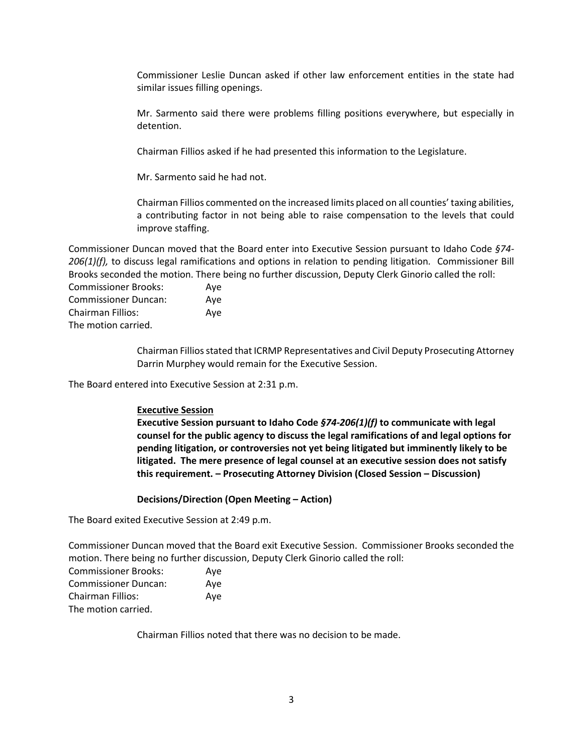Commissioner Leslie Duncan asked if other law enforcement entities in the state had similar issues filling openings.

Mr. Sarmento said there were problems filling positions everywhere, but especially in detention.

Chairman Fillios asked if he had presented this information to the Legislature.

Mr. Sarmento said he had not.

Chairman Fillios commented on the increased limits placed on all counties' taxing abilities, a contributing factor in not being able to raise compensation to the levels that could improve staffing.

Commissioner Duncan moved that the Board enter into Executive Session pursuant to Idaho Code *§74- 206(1)(f),* to discuss legal ramifications and options in relation to pending litigation*.* Commissioner Bill Brooks seconded the motion. There being no further discussion, Deputy Clerk Ginorio called the roll:

Commissioner Brooks: Aye Commissioner Duncan: Aye Chairman Fillios: Aye The motion carried.

> Chairman Fillios stated that ICRMP Representatives and Civil Deputy Prosecuting Attorney Darrin Murphey would remain for the Executive Session.

The Board entered into Executive Session at 2:31 p.m.

## **Executive Session**

**Executive Session pursuant to Idaho Code** *§74-206(1)(f)* **to communicate with legal counsel for the public agency to discuss the legal ramifications of and legal options for pending litigation, or controversies not yet being litigated but imminently likely to be litigated. The mere presence of legal counsel at an executive session does not satisfy this requirement. – Prosecuting Attorney Division (Closed Session – Discussion)**

## **Decisions/Direction (Open Meeting – Action)**

The Board exited Executive Session at 2:49 p.m.

Commissioner Duncan moved that the Board exit Executive Session. Commissioner Brooks seconded the motion. There being no further discussion, Deputy Clerk Ginorio called the roll:

| <b>Commissioner Brooks:</b> | Ave |
|-----------------------------|-----|
| <b>Commissioner Duncan:</b> | Ave |
| <b>Chairman Fillios:</b>    | Ave |
| The motion carried.         |     |

Chairman Fillios noted that there was no decision to be made.